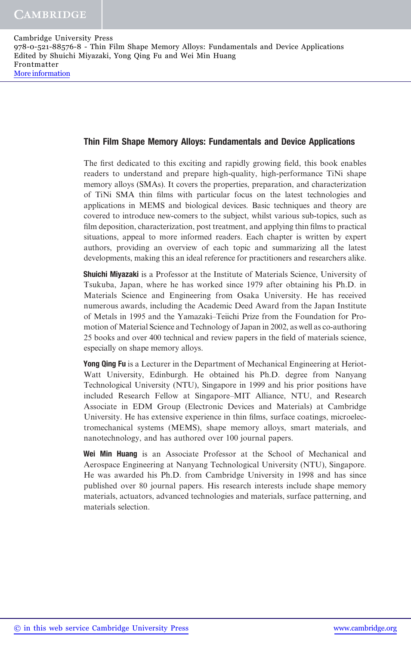#### Thin Film Shape Memory Alloys: Fundamentals and Device Applications

The first dedicated to this exciting and rapidly growing field, this book enables readers to understand and prepare high-quality, high-performance TiNi shape memory alloys (SMAs). It covers the properties, preparation, and characterization of TiNi SMA thin films with particular focus on the latest technologies and applications in MEMS and biological devices. Basic techniques and theory are covered to introduce new-comers to the subject, whilst various sub-topics, such as film deposition, characterization, post treatment, and applying thin films to practical situations, appeal to more informed readers. Each chapter is written by expert authors, providing an overview of each topic and summarizing all the latest developments, making this an ideal reference for practitioners and researchers alike.

**Shuichi Miyazaki** is a Professor at the Institute of Materials Science, University of Tsukuba, Japan, where he has worked since 1979 after obtaining his Ph.D. in Materials Science and Engineering from Osaka University. He has received numerous awards, including the Academic Deed Award from the Japan Institute of Metals in 1995 and the Yamazaki–Teiichi Prize from the Foundation for Promotion of Material Science and Technology of Japan in 2002, as well as co-authoring 25 books and over 400 technical and review papers in the field of materials science, especially on shape memory alloys.

**Yong Qing Fu** is a Lecturer in the Department of Mechanical Engineering at Heriot-Watt University, Edinburgh. He obtained his Ph.D. degree from Nanyang Technological University (NTU), Singapore in 1999 and his prior positions have included Research Fellow at Singapore–MIT Alliance, NTU, and Research Associate in EDM Group (Electronic Devices and Materials) at Cambridge University. He has extensive experience in thin films, surface coatings, microelectromechanical systems (MEMS), shape memory alloys, smart materials, and nanotechnology, and has authored over 100 journal papers.

Wei Min Huang is an Associate Professor at the School of Mechanical and Aerospace Engineering at Nanyang Technological University (NTU), Singapore. He was awarded his Ph.D. from Cambridge University in 1998 and has since published over 80 journal papers. His research interests include shape memory materials, actuators, advanced technologies and materials, surface patterning, and materials selection.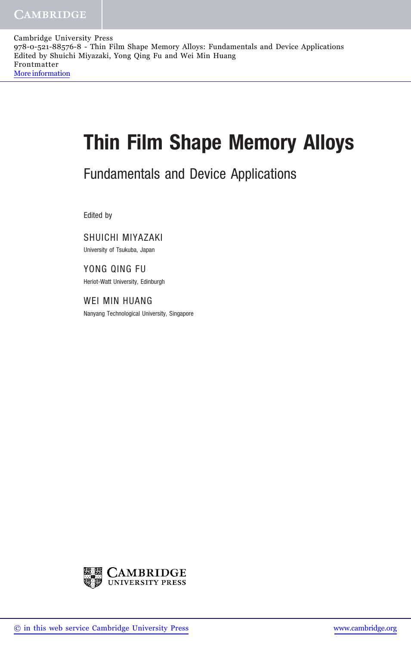# Thin Film Shape Memory Alloys

Fundamentals and Device Applications

Edited by

SHUICHI MIYAZAKI University of Tsukuba, Japan

YONG QING FU Heriot-Watt University, Edinburgh

WEI MIN HUANG Nanyang Technological University, Singapore

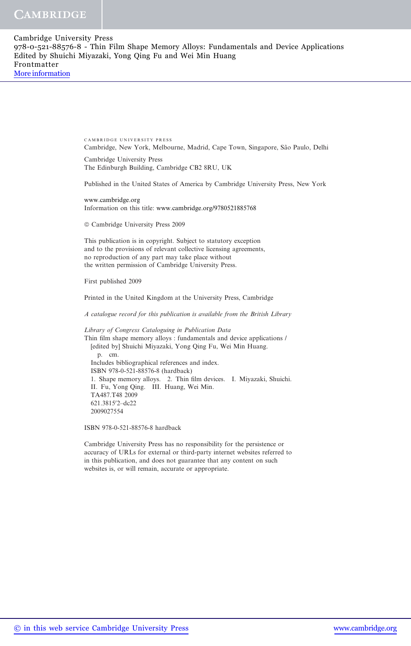CAMBRIDGE UNIVERSITY PRESS Cambridge, New York, Melbourne, Madrid, Cape Town, Singapore, São Paulo, Delhi

Cambridge University Press The Edinburgh Building, Cambridge CB2 8RU, UK

Published in the United States of America by Cambridge University Press, New York

www.cambridge.org Information on this title: www.cambridge.org/9780521885768

© Cambridge University Press 2009

This publication is in copyright. Subject to statutory exception and to the provisions of relevant collective licensing agreements, no reproduction of any part may take place without the written permission of Cambridge University Press.

First published 2009

Printed in the United Kingdom at the University Press, Cambridge

A catalogue record for this publication is available from the British Library

Library of Congress Cataloguing in Publication Data Thin film shape memory alloys : fundamentals and device applications / [edited by] Shuichi Miyazaki, Yong Qing Fu, Wei Min Huang. p. cm. Includes bibliographical references and index. ISBN 978-0-521-88576-8 (hardback) 1. Shape memory alloys. 2. Thin film devices. I. Miyazaki, Shuichi. II. Fu, Yong Qing. III. Huang, Wei Min. TA487.T48 2009 621.3815'2-dc22 2009027554

ISBN 978-0-521-88576-8 hardback

Cambridge University Press has no responsibility for the persistence or accuracy of URLs for external or third-party internet websites referred to in this publication, and does not guarantee that any content on such websites is, or will remain, accurate or appropriate.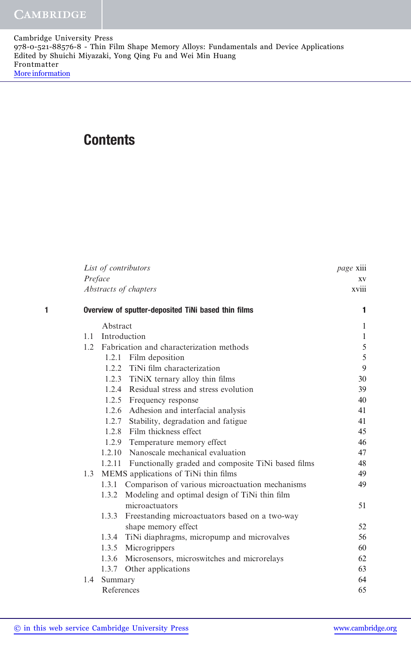### **Contents**

|   | List of contributors |                                                           | <i>page</i> xiii |
|---|----------------------|-----------------------------------------------------------|------------------|
|   | Preface              | XV.                                                       |                  |
|   |                      | Abstracts of chapters                                     | xviii            |
| 1 |                      | Overview of sputter-deposited TiNi based thin films       | 1                |
|   |                      | Abstract                                                  | $\mathbf{1}$     |
|   |                      | 1.1 Introduction                                          | $\mathbf{1}$     |
|   |                      | 1.2 Fabrication and characterization methods              | 5                |
|   |                      | 1.2.1 Film deposition                                     | 5                |
|   |                      | 1.2.2 TiNi film characterization                          | 9                |
|   |                      | 1.2.3 TiNiX ternary alloy thin films                      | 30               |
|   |                      | 1.2.4 Residual stress and stress evolution                | 39               |
|   |                      | 1.2.5 Frequency response                                  | 40               |
|   |                      | 1.2.6 Adhesion and interfacial analysis                   | 41               |
|   |                      | 1.2.7 Stability, degradation and fatigue                  | 41               |
|   |                      | 1.2.8 Film thickness effect                               | 45               |
|   |                      | 1.2.9 Temperature memory effect                           | 46               |
|   |                      | 1.2.10 Nanoscale mechanical evaluation                    | 47               |
|   |                      | 1.2.11 Functionally graded and composite TiNi based films | 48               |
|   | 1.3                  | MEMS applications of TiNi thin films                      | 49               |
|   |                      | 1.3.1 Comparison of various microactuation mechanisms     | 49               |
|   |                      | 1.3.2<br>Modeling and optimal design of TiNi thin film    |                  |
|   |                      | microactuators                                            | 51               |
|   |                      | 1.3.3 Freestanding microactuators based on a two-way      |                  |
|   |                      | shape memory effect                                       | 52               |
|   |                      | 1.3.4 TiNi diaphragms, micropump and microvalves          | 56               |
|   |                      | 1.3.5 Microgrippers                                       | 60               |
|   |                      | 1.3.6 Microsensors, microswitches and microrelays         | 62               |
|   |                      | 1.3.7 Other applications                                  | 63               |
|   | 1.4                  | Summary                                                   | 64               |
|   |                      | References                                                | 65               |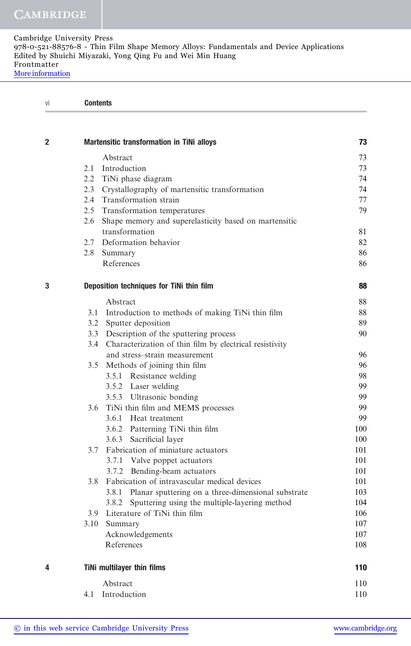| Vİ          | <b>Contents</b>                                                |     |  |
|-------------|----------------------------------------------------------------|-----|--|
|             |                                                                |     |  |
| $\mathbf 2$ | Martensitic transformation in TiNi alloys                      | 73  |  |
|             | Abstract                                                       | 73  |  |
|             | 2.1<br>Introduction                                            | 73  |  |
|             | 2.2 TiNi phase diagram                                         | 74  |  |
|             | 2.3<br>Crystallography of martensitic transformation           | 74  |  |
|             | 2.4 Transformation strain                                      | 77  |  |
|             | 2.5<br>Transformation temperatures                             | 79  |  |
|             | 2.6<br>Shape memory and superelasticity based on martensitic   |     |  |
|             | transformation                                                 | 81  |  |
|             | 2.7 Deformation behavior                                       | 82  |  |
|             | 2.8<br>Summary                                                 | 86  |  |
|             | References                                                     | 86  |  |
| 3           | Deposition techniques for TiNi thin film                       | 88  |  |
|             | Abstract                                                       | 88  |  |
|             | 3.1 Introduction to methods of making TiNi thin film           | 88  |  |
|             | 3.2<br>Sputter deposition                                      | 89  |  |
|             | 3.3<br>Description of the sputtering process                   | 90  |  |
|             | 3.4<br>Characterization of thin film by electrical resistivity |     |  |
|             | and stress-strain measurement                                  | 96  |  |
|             | 3.5 Methods of joining thin film                               | 96  |  |
|             | 3.5.1 Resistance welding                                       | 98  |  |
|             | 3.5.2 Laser welding                                            | 99  |  |
|             | 3.5.3 Ultrasonic bonding                                       | 99  |  |
|             | TiNi thin film and MEMS processes<br>3.6                       | 99  |  |
|             | 3.6.1 Heat treatment                                           | 99  |  |
|             | 3.6.2 Patterning TiNi thin film                                | 100 |  |
|             | 3.6.3 Sacrificial layer                                        | 100 |  |
|             | Fabrication of miniature actuators<br>3.7                      | 101 |  |
|             | 3.7.1 Valve poppet actuators                                   | 101 |  |
|             | 3.7.2 Bending-beam actuators                                   | 101 |  |
|             | Fabrication of intravascular medical devices<br>3.8            | 101 |  |
|             | Planar sputtering on a three-dimensional substrate<br>3.8.1    | 103 |  |
|             | Sputtering using the multiple-layering method<br>3.8.2         | 104 |  |
|             | Literature of TiNi thin film<br>3.9                            | 106 |  |
|             | 3.10<br>Summary                                                | 107 |  |
|             | Acknowledgements                                               | 107 |  |
|             | References                                                     | 108 |  |
| 4           | TiNi multilayer thin films                                     | 110 |  |
|             | Abstract                                                       | 110 |  |
|             | Introduction<br>4.1                                            | 110 |  |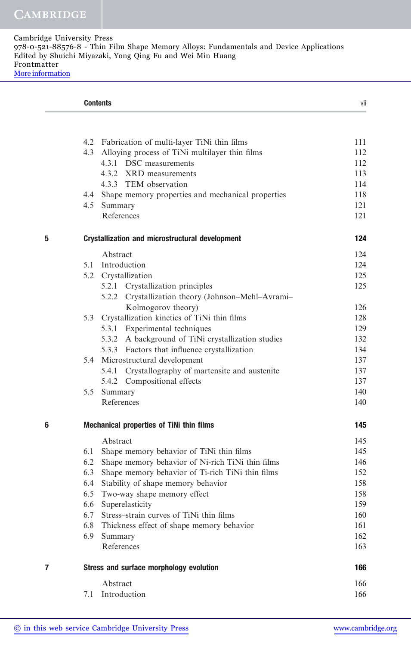$\overline{\phantom{a}}$ 

|   | <b>Contents</b>                                                                 | vii        |
|---|---------------------------------------------------------------------------------|------------|
|   |                                                                                 |            |
|   | 4.2 Fabrication of multi-layer TiNi thin films                                  | 111        |
|   | Alloying process of TiNi multilayer thin films<br>4.3                           | 112        |
|   | 4.3.1 DSC measurements                                                          | 112        |
|   | 4.3.2 XRD measurements                                                          | 113        |
|   | 4.3.3 TEM observation                                                           | 114        |
|   | 4.4 Shape memory properties and mechanical properties                           | 118        |
|   | 4.5 Summary                                                                     | 121        |
|   | References                                                                      | 121        |
| 5 | <b>Crystallization and microstructural development</b>                          | 124        |
|   | Abstract                                                                        | 124        |
|   | 5.1 Introduction                                                                | 124        |
|   | 5.2 Crystallization                                                             | 125        |
|   | 5.2.1 Crystallization principles                                                | 125        |
|   | 5.2.2 Crystallization theory (Johnson–Mehl–Avrami–                              |            |
|   | Kolmogorov theory)                                                              | 126        |
|   | 5.3 Crystallization kinetics of TiNi thin films                                 | 128        |
|   | 5.3.1 Experimental techniques                                                   | 129        |
|   | 5.3.2 A background of TiNi crystallization studies                              | 132        |
|   | 5.3.3 Factors that influence crystallization<br>5.4 Microstructural development | 134<br>137 |
|   | 5.4.1 Crystallography of martensite and austenite                               | 137        |
|   | 5.4.2 Compositional effects                                                     | 137        |
|   | Summary<br>5.5                                                                  | 140        |
|   | References                                                                      | 140        |
| 6 | <b>Mechanical properties of TiNi thin films</b>                                 | 145        |
|   | Abstract                                                                        | 145        |
|   | Shape memory behavior of TiNi thin films<br>6.1                                 | 145        |
|   | Shape memory behavior of Ni-rich TiNi thin films<br>6.2                         | 146        |
|   | 6.3<br>Shape memory behavior of Ti-rich TiNi thin films                         | 152        |
|   | 6.4<br>Stability of shape memory behavior                                       | 158        |
|   | 6.5<br>Two-way shape memory effect                                              | 158        |
|   | 6.6<br>Superelasticity                                                          | 159        |
|   | 6.7<br>Stress-strain curves of TiNi thin films                                  | 160        |
|   | Thickness effect of shape memory behavior<br>6.8                                | 161        |
|   | 6.9<br>Summary                                                                  | 162        |
|   | References                                                                      | 163        |
| 7 | Stress and surface morphology evolution                                         | 166        |
|   | Abstract                                                                        | 166        |
|   | Introduction<br>7.1                                                             | 166        |
|   |                                                                                 |            |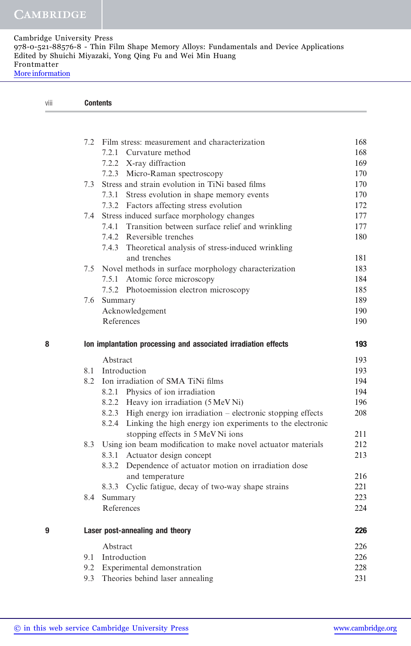| viii | <b>Contents</b>                                                |                                                                  |     |
|------|----------------------------------------------------------------|------------------------------------------------------------------|-----|
|      |                                                                |                                                                  |     |
|      | 7.2                                                            | Film stress: measurement and characterization                    | 168 |
|      |                                                                | 7.2.1<br>Curvature method                                        | 168 |
|      |                                                                | 7.2.2 X-ray diffraction                                          | 169 |
|      |                                                                | 7.2.3 Micro-Raman spectroscopy                                   | 170 |
|      | 7.3                                                            | Stress and strain evolution in TiNi based films                  | 170 |
|      |                                                                | Stress evolution in shape memory events<br>7.3.1                 | 170 |
|      |                                                                | 7.3.2 Factors affecting stress evolution                         | 172 |
|      |                                                                | 7.4 Stress induced surface morphology changes                    | 177 |
|      |                                                                | 7.4.1 Transition between surface relief and wrinkling            | 177 |
|      |                                                                | 7.4.2 Reversible trenches                                        | 180 |
|      |                                                                | 7.4.3 Theoretical analysis of stress-induced wrinkling           |     |
|      |                                                                | and trenches                                                     | 181 |
|      |                                                                | 7.5 Novel methods in surface morphology characterization         | 183 |
|      |                                                                | 7.5.1 Atomic force microscopy                                    | 184 |
|      |                                                                | 7.5.2 Photoemission electron microscopy                          | 185 |
|      |                                                                | 7.6 Summary                                                      | 189 |
|      |                                                                | Acknowledgement                                                  | 190 |
|      |                                                                | References                                                       | 190 |
| 8    | Ion implantation processing and associated irradiation effects |                                                                  |     |
|      |                                                                | Abstract                                                         | 193 |
|      |                                                                | 8.1 Introduction                                                 | 193 |
|      |                                                                | 8.2 Ion irradiation of SMA TiNi films                            | 194 |
|      |                                                                | 8.2.1 Physics of ion irradiation                                 | 194 |
|      |                                                                | 8.2.2 Heavy ion irradiation (5 MeV Ni)                           | 196 |
|      |                                                                | 8.2.3 High energy ion irradiation – electronic stopping effects  | 208 |
|      |                                                                | 8.2.4 Linking the high energy ion experiments to the electronic  |     |
|      |                                                                | stopping effects in 5 MeV Ni ions                                | 211 |
|      |                                                                | 8.3 Using ion beam modification to make novel actuator materials | 212 |
|      |                                                                | 8.3.1 Actuator design concept                                    | 213 |
|      |                                                                | 8.3.2<br>Dependence of actuator motion on irradiation dose       |     |
|      |                                                                | and temperature                                                  | 216 |
|      |                                                                | 8.3.3<br>Cyclic fatigue, decay of two-way shape strains          | 221 |
|      | 8.4                                                            | Summary                                                          | 223 |
|      |                                                                | References                                                       | 224 |
| 9    |                                                                | Laser post-annealing and theory                                  | 226 |
|      |                                                                | Abstract                                                         | 226 |
|      | 9.1                                                            | Introduction                                                     | 226 |
|      | 9.2                                                            | Experimental demonstration                                       | 228 |
|      | 9.3                                                            | Theories behind laser annealing                                  | 231 |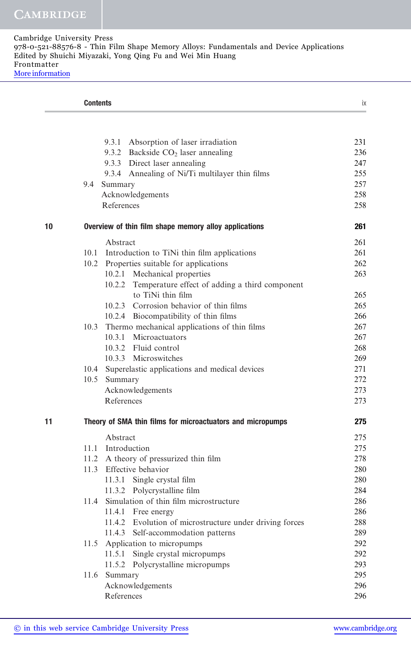|    | <b>Contents</b> |                                                                            | İХ         |
|----|-----------------|----------------------------------------------------------------------------|------------|
|    |                 |                                                                            |            |
|    |                 | 9.3.1<br>Absorption of laser irradiation                                   | 231        |
|    |                 | 9.3.2 Backside $CO2$ laser annealing                                       | 236        |
|    |                 | 9.3.3 Direct laser annealing                                               | 247        |
|    |                 | 9.3.4 Annealing of Ni/Ti multilayer thin films                             | 255        |
|    | 9.4             | Summary                                                                    | 257        |
|    |                 | Acknowledgements                                                           | 258        |
|    |                 | References                                                                 | 258        |
| 10 |                 | Overview of thin film shape memory alloy applications                      | 261        |
|    |                 | Abstract                                                                   | 261        |
|    |                 | 10.1 Introduction to TiNi thin film applications                           | 261        |
|    |                 | 10.2 Properties suitable for applications                                  | 262        |
|    |                 | 10.2.1 Mechanical properties                                               | 263        |
|    |                 | 10.2.2 Temperature effect of adding a third component                      |            |
|    |                 | to TiNi thin film                                                          | 265        |
|    |                 | 10.2.3 Corrosion behavior of thin films                                    | 265        |
|    |                 | 10.2.4 Biocompatibility of thin films                                      | 266        |
|    |                 | 10.3 Thermo mechanical applications of thin films                          | 267        |
|    |                 | 10.3.1 Microactuators                                                      | 267        |
|    |                 | 10.3.2 Fluid control                                                       | 268<br>269 |
|    |                 | 10.3.3 Microswitches<br>10.4 Superelastic applications and medical devices | 271        |
|    |                 | 10.5 Summary                                                               | 272        |
|    |                 | Acknowledgements                                                           | 273        |
|    |                 | References                                                                 | 273        |
| 11 |                 | Theory of SMA thin films for microactuators and micropumps                 | 275        |
|    |                 | Abstract                                                                   | 275        |
|    |                 | 11.1 Introduction                                                          | 275        |
|    |                 | 11.2 A theory of pressurized thin film                                     | 278        |
|    | 11.3            | Effective behavior                                                         | 280        |
|    |                 | Single crystal film<br>11.3.1                                              | 280        |
|    |                 | 11.3.2 Polycrystalline film                                                | 284        |
|    |                 | 11.4 Simulation of thin film microstructure                                | 286        |
|    |                 | 11.4.1 Free energy                                                         | 286        |
|    |                 | 11.4.2 Evolution of microstructure under driving forces                    | 288        |
|    |                 | 11.4.3 Self-accommodation patterns                                         | 289        |
|    | 11.5            | Application to micropumps                                                  | 292        |
|    |                 | Single crystal micropumps<br>11.5.1                                        | 292        |
|    |                 | 11.5.2 Polycrystalline micropumps                                          | 293        |
|    | 11.6            | Summary                                                                    | 295        |
|    |                 | Acknowledgements                                                           | 296        |
|    |                 | References                                                                 | 296        |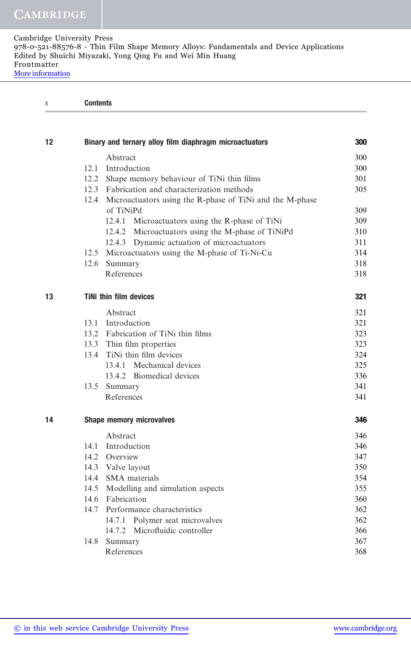| <b>Contents</b><br>Χ |      |                                                                                                 |            |
|----------------------|------|-------------------------------------------------------------------------------------------------|------------|
|                      |      |                                                                                                 |            |
| 12                   |      | Binary and ternary alloy film diaphragm microactuators                                          | 300        |
|                      |      | Abstract                                                                                        | 300        |
|                      | 12.1 | Introduction                                                                                    | 300        |
|                      |      | 12.2 Shape memory behaviour of TiNi thin films                                                  | 301        |
|                      |      | 12.3 Fabrication and characterization methods                                                   | 305        |
|                      |      | 12.4 Microactuators using the R-phase of TiNi and the M-phase                                   |            |
|                      |      | of TiNiPd                                                                                       | 309        |
|                      |      | 12.4.1 Microactuators using the R-phase of TiNi                                                 | 309<br>310 |
|                      |      | 12.4.2 Microactuators using the M-phase of TiNiPd<br>12.4.3 Dynamic actuation of microactuators | 311        |
|                      |      | 12.5 Microactuators using the M-phase of Ti-Ni-Cu                                               | 314        |
|                      |      | 12.6 Summary                                                                                    | 318        |
|                      |      | References                                                                                      | 318        |
|                      |      |                                                                                                 |            |
| 13                   |      | <b>TiNi thin film devices</b>                                                                   | 321        |
|                      |      | Abstract                                                                                        | 321        |
|                      |      | 13.1 Introduction                                                                               | 321        |
|                      |      | 13.2 Fabrication of TiNi thin films                                                             | 323        |
|                      |      | 13.3 Thin film properties                                                                       | 323        |
|                      | 13.4 | TiNi thin film devices                                                                          | 324        |
|                      |      | 13.4.1 Mechanical devices                                                                       | 325        |
|                      |      | 13.4.2 Biomedical devices                                                                       | 336        |
|                      |      | 13.5 Summary                                                                                    | 341        |
|                      |      | References                                                                                      | 341        |
| 14                   |      | <b>Shape memory microvalves</b>                                                                 | 346        |
|                      |      | Abstract                                                                                        | 346        |
|                      | 14.1 | Introduction                                                                                    | 346        |
|                      | 14.2 | Overview                                                                                        | 347        |
|                      | 14.3 | Valve layout                                                                                    | 350        |
|                      | 14.4 | SMA materials                                                                                   | 354        |
|                      | 14.5 | Modelling and simulation aspects                                                                | 355        |
|                      | 14.6 | Fabrication                                                                                     | 360        |
|                      |      | 14.7 Performance characteristics                                                                | 362        |
|                      |      | 14.7.1 Polymer seat microvalves                                                                 | 362        |
|                      |      | Microfluidic controller<br>14.7.2                                                               | 366        |
|                      | 14.8 | Summary                                                                                         | 367        |
|                      |      | References                                                                                      | 368        |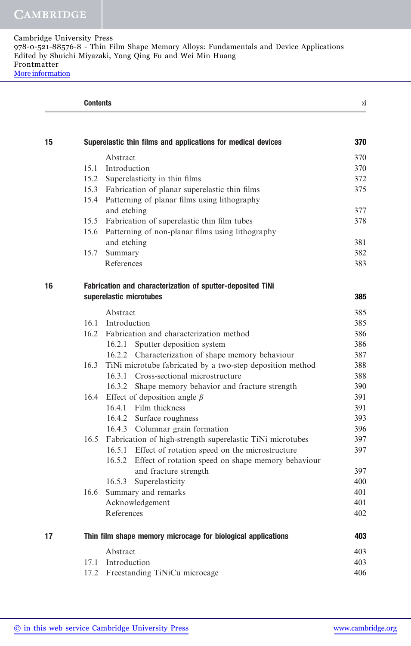|    | <b>Contents</b> |                                                                                                                       |     |
|----|-----------------|-----------------------------------------------------------------------------------------------------------------------|-----|
| 15 |                 | Superelastic thin films and applications for medical devices                                                          | 370 |
|    |                 | Abstract                                                                                                              | 370 |
|    | 15.1            | Introduction                                                                                                          | 370 |
|    |                 | 15.2 Superelasticity in thin films                                                                                    | 372 |
|    |                 | 15.3 Fabrication of planar superelastic thin films                                                                    | 375 |
|    | 15.4            | Patterning of planar films using lithography                                                                          |     |
|    |                 | and etching                                                                                                           | 377 |
|    |                 | 15.5 Fabrication of superelastic thin film tubes                                                                      | 378 |
|    |                 | 15.6 Patterning of non-planar films using lithography                                                                 |     |
|    |                 | and etching                                                                                                           | 381 |
|    | 15.7            | Summary                                                                                                               | 382 |
|    |                 | References                                                                                                            | 383 |
| 16 |                 | Fabrication and characterization of sputter-deposited TiNi                                                            |     |
|    |                 | superelastic microtubes                                                                                               | 385 |
|    |                 | Abstract                                                                                                              | 385 |
|    | 16.1            | Introduction                                                                                                          | 385 |
|    | 16.2            | Fabrication and characterization method                                                                               | 386 |
|    |                 | 16.2.1<br>Sputter deposition system                                                                                   | 386 |
|    |                 | 16.2.2 Characterization of shape memory behaviour                                                                     | 387 |
|    | 16.3            | TiNi microtube fabricated by a two-step deposition method                                                             | 388 |
|    |                 | 16.3.1 Cross-sectional microstructure                                                                                 | 388 |
|    |                 | 16.3.2 Shape memory behavior and fracture strength                                                                    | 390 |
|    | 16.4            | Effect of deposition angle $\beta$                                                                                    | 391 |
|    |                 | Film thickness<br>16.4.1                                                                                              | 391 |
|    |                 | 16.4.2 Surface roughness                                                                                              | 393 |
|    |                 | 16.4.3 Columnar grain formation                                                                                       | 396 |
|    | 16.5            | Fabrication of high-strength superelastic TiNi microtubes                                                             | 397 |
|    |                 | 16.5.1 Effect of rotation speed on the microstructure<br>Effect of rotation speed on shape memory behaviour<br>16.5.2 | 397 |
|    |                 | and fracture strength                                                                                                 | 397 |
|    |                 | 16.5.3<br>Superelasticity                                                                                             | 400 |
|    | 16.6            | Summary and remarks                                                                                                   | 401 |
|    |                 | Acknowledgement                                                                                                       | 401 |
|    |                 | References                                                                                                            | 402 |
| 17 |                 | Thin film shape memory microcage for biological applications                                                          | 403 |
|    |                 | Abstract                                                                                                              | 403 |
|    | 17.1            | Introduction                                                                                                          | 403 |
|    |                 | 17.2 Freestanding TiNiCu microcage                                                                                    | 406 |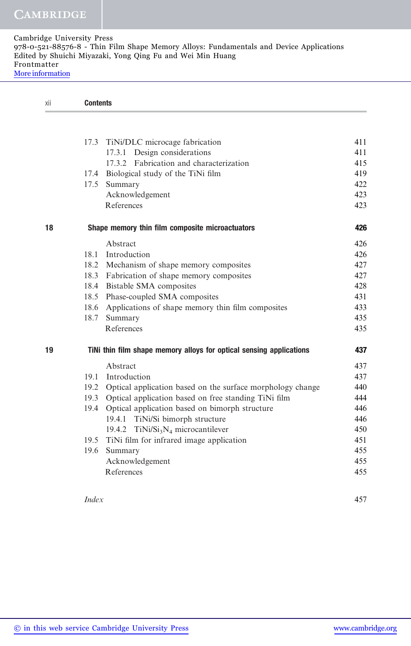| xii |      | <b>Contents</b>                                                     |     |  |
|-----|------|---------------------------------------------------------------------|-----|--|
|     |      |                                                                     |     |  |
|     |      | 17.3 TiNi/DLC microcage fabrication                                 | 411 |  |
|     |      | Design considerations<br>17.3.1                                     | 411 |  |
|     |      | 17.3.2 Fabrication and characterization                             | 415 |  |
|     |      | 17.4 Biological study of the TiNi film                              | 419 |  |
|     |      | 17.5 Summary                                                        | 422 |  |
|     |      | Acknowledgement                                                     | 423 |  |
|     |      | References                                                          | 423 |  |
| 18  |      | Shape memory thin film composite microactuators                     | 426 |  |
|     |      | Abstract                                                            | 426 |  |
|     | 18.1 | Introduction                                                        | 426 |  |
|     |      | 18.2 Mechanism of shape memory composites                           | 427 |  |
|     |      | 18.3 Fabrication of shape memory composites                         | 427 |  |
|     |      | 18.4 Bistable SMA composites                                        | 428 |  |
|     |      | 18.5 Phase-coupled SMA composites                                   | 431 |  |
|     |      | 18.6 Applications of shape memory thin film composites              | 433 |  |
|     | 18.7 | Summary                                                             | 435 |  |
|     |      | References                                                          | 435 |  |
| 19  |      | TiNi thin film shape memory alloys for optical sensing applications | 437 |  |
|     |      | Abstract                                                            | 437 |  |
|     | 19.1 | Introduction                                                        | 437 |  |
|     |      | 19.2 Optical application based on the surface morphology change     | 440 |  |
|     | 19.3 | Optical application based on free standing TiNi film                | 444 |  |
|     | 19.4 | Optical application based on bimorph structure                      | 446 |  |
|     |      | TiNi/Si bimorph structure<br>19.4.1                                 | 446 |  |
|     |      | 19.4.2 $TiNi/Si3N4 microcantilever$                                 | 450 |  |
|     |      | 19.5 TiNi film for infrared image application                       | 451 |  |
|     | 19.6 | Summary                                                             | 455 |  |
|     |      | Acknowledgement                                                     | 455 |  |
|     |      | References                                                          | 455 |  |
|     |      |                                                                     |     |  |

#### Index 457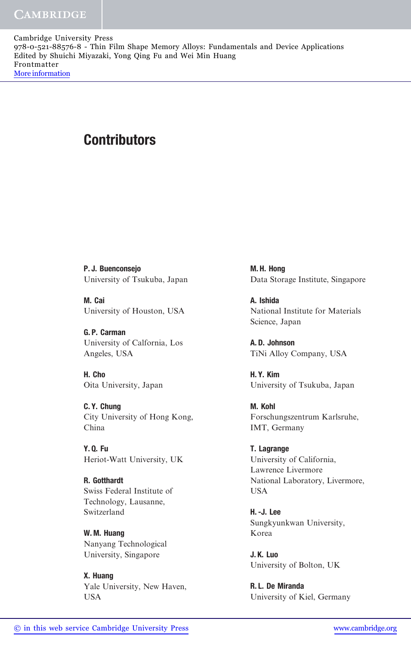## **Contributors**

P. J. Buenconsejo University of Tsukuba, Japan

M. Cai University of Houston, USA

G. P. Carman University of Calfornia, Los Angeles, USA

H. Cho Oita University, Japan

C. Y. Chung City University of Hong Kong, China

Y. Q. Fu Heriot-Watt University, UK

R. Gotthardt Swiss Federal Institute of Technology, Lausanne, Switzerland

W. M. Huang Nanyang Technological University, Singapore

X. Huang Yale University, New Haven, USA

M. H. Hong Data Storage Institute, Singapore

A. Ishida National Institute for Materials Science, Japan

A. D. Johnson TiNi Alloy Company, USA

H. Y. Kim University of Tsukuba, Japan

M. Kohl Forschungszentrum Karlsruhe, IMT, Germany

T. Lagrange University of California, Lawrence Livermore National Laboratory, Livermore, **USA** 

H. -J. Lee Sungkyunkwan University, Korea

J. K. Luo University of Bolton, UK

R. L. De Miranda University of Kiel, Germany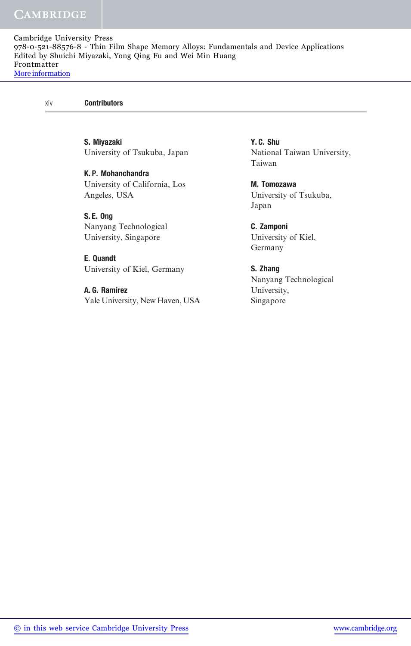### **CAMBRIDGE**

Cambridge University Press 978-0-521-88576-8 - Thin Film Shape Memory Alloys: Fundamentals and Device Applications Edited by Shuichi Miyazaki, Yong Qing Fu and Wei Min Huang Frontmatter [More information](http://www.cambridge.org/9780521885768)

xiv Contributors

S. Miyazaki University of Tsukuba, Japan

K. P. Mohanchandra University of California, Los Angeles, USA

S. E. Ong Nanyang Technological University, Singapore

E. Quandt University of Kiel, Germany

A. G. Ramirez Yale University, New Haven, USA Y. C. Shu National Taiwan University, Taiwan

M. Tomozawa University of Tsukuba, Japan

C. Zamponi University of Kiel, Germany

S. Zhang Nanyang Technological University, Singapore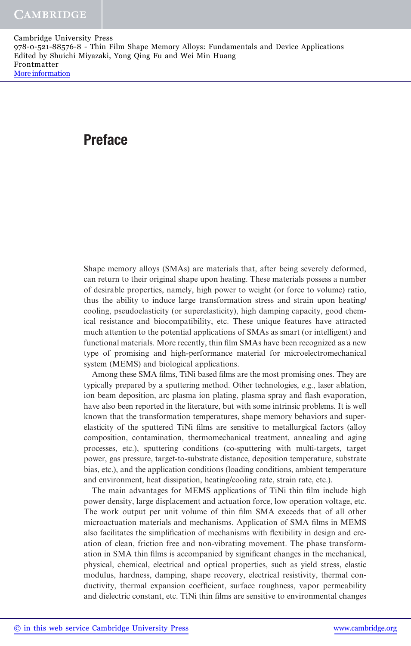### Preface

Shape memory alloys (SMAs) are materials that, after being severely deformed, can return to their original shape upon heating. These materials possess a number of desirable properties, namely, high power to weight (or force to volume) ratio, thus the ability to induce large transformation stress and strain upon heating/ cooling, pseudoelasticity (or superelasticity), high damping capacity, good chemical resistance and biocompatibility, etc. These unique features have attracted much attention to the potential applications of SMAs as smart (or intelligent) and functional materials. More recently, thin film SMAs have been recognized as a new type of promising and high-performance material for microelectromechanical system (MEMS) and biological applications.

Among these SMA films, TiNi based films are the most promising ones. They are typically prepared by a sputtering method. Other technologies, e.g., laser ablation, ion beam deposition, arc plasma ion plating, plasma spray and flash evaporation, have also been reported in the literature, but with some intrinsic problems. It is well known that the transformation temperatures, shape memory behaviors and superelasticity of the sputtered TiNi films are sensitive to metallurgical factors (alloy composition, contamination, thermomechanical treatment, annealing and aging processes, etc.), sputtering conditions (co-sputtering with multi-targets, target power, gas pressure, target-to-substrate distance, deposition temperature, substrate bias, etc.), and the application conditions (loading conditions, ambient temperature and environment, heat dissipation, heating/cooling rate, strain rate, etc.).

The main advantages for MEMS applications of TiNi thin film include high power density, large displacement and actuation force, low operation voltage, etc. The work output per unit volume of thin film SMA exceeds that of all other microactuation materials and mechanisms. Application of SMA films in MEMS also facilitates the simplification of mechanisms with flexibility in design and creation of clean, friction free and non-vibrating movement. The phase transformation in SMA thin films is accompanied by significant changes in the mechanical, physical, chemical, electrical and optical properties, such as yield stress, elastic modulus, hardness, damping, shape recovery, electrical resistivity, thermal conductivity, thermal expansion coefficient, surface roughness, vapor permeability and dielectric constant, etc. TiNi thin films are sensitive to environmental changes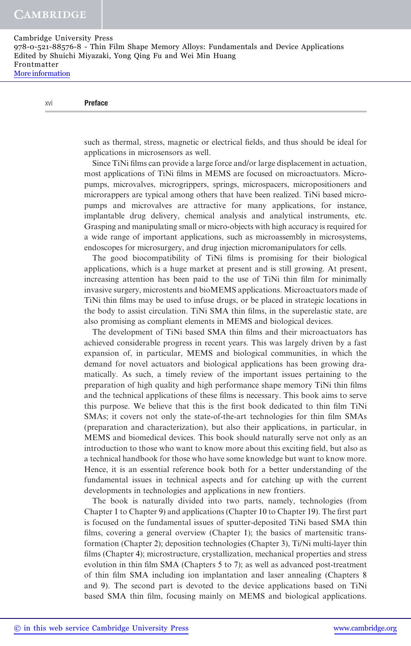xvi Preface

such as thermal, stress, magnetic or electrical fields, and thus should be ideal for applications in microsensors as well.

Since TiNi films can provide a large force and/or large displacement in actuation, most applications of TiNi films in MEMS are focused on microactuators. Micropumps, microvalves, microgrippers, springs, microspacers, micropositioners and microrappers are typical among others that have been realized. TiNi based micropumps and microvalves are attractive for many applications, for instance, implantable drug delivery, chemical analysis and analytical instruments, etc. Grasping and manipulating small or micro-objects with high accuracy is required for a wide range of important applications, such as microassembly in microsystems, endoscopes for microsurgery, and drug injection micromanipulators for cells.

The good biocompatibility of TiNi films is promising for their biological applications, which is a huge market at present and is still growing. At present, increasing attention has been paid to the use of TiNi thin film for minimally invasive surgery, microstents and bioMEMS applications. Microactuators made of TiNi thin films may be used to infuse drugs, or be placed in strategic locations in the body to assist circulation. TiNi SMA thin films, in the superelastic state, are also promising as compliant elements in MEMS and biological devices.

The development of TiNi based SMA thin films and their microactuators has achieved considerable progress in recent years. This was largely driven by a fast expansion of, in particular, MEMS and biological communities, in which the demand for novel actuators and biological applications has been growing dramatically. As such, a timely review of the important issues pertaining to the preparation of high quality and high performance shape memory TiNi thin films and the technical applications of these films is necessary. This book aims to serve this purpose. We believe that this is the first book dedicated to thin film TiNi SMAs; it covers not only the state-of-the-art technologies for thin film SMAs (preparation and characterization), but also their applications, in particular, in MEMS and biomedical devices. This book should naturally serve not only as an introduction to those who want to know more about this exciting field, but also as a technical handbook for those who have some knowledge but want to know more. Hence, it is an essential reference book both for a better understanding of the fundamental issues in technical aspects and for catching up with the current developments in technologies and applications in new frontiers.

The book is naturally divided into two parts, namely, technologies (from Chapter 1 to Chapter 9) and applications (Chapter 10 to Chapter 19). The first part is focused on the fundamental issues of sputter-deposited TiNi based SMA thin films, covering a general overview (Chapter 1); the basics of martensitic transformation (Chapter 2); deposition technologies (Chapter 3), Ti/Ni multi-layer thin films (Chapter 4); microstructure, crystallization, mechanical properties and stress evolution in thin film SMA (Chapters 5 to 7); as well as advanced post-treatment of thin film SMA including ion implantation and laser annealing (Chapters 8 and 9). The second part is devoted to the device applications based on TiNi based SMA thin film, focusing mainly on MEMS and biological applications.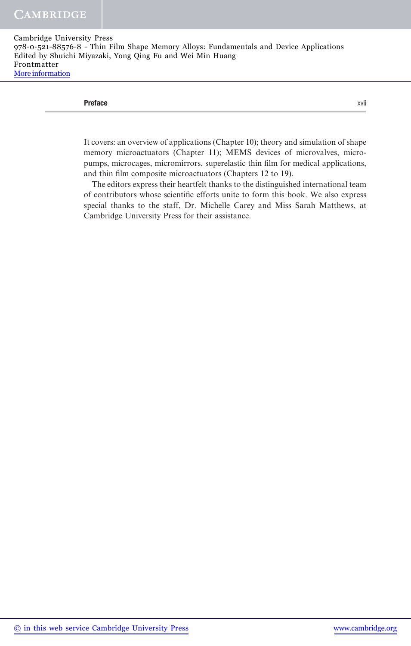| <b>Preface</b> | xvii |
|----------------|------|
|                |      |

It covers: an overview of applications (Chapter 10); theory and simulation of shape memory microactuators (Chapter 11); MEMS devices of microvalves, micropumps, microcages, micromirrors, superelastic thin film for medical applications, and thin film composite microactuators (Chapters 12 to 19).

The editors express their heartfelt thanks to the distinguished international team of contributors whose scientific efforts unite to form this book. We also express special thanks to the staff, Dr. Michelle Carey and Miss Sarah Matthews, at Cambridge University Press for their assistance.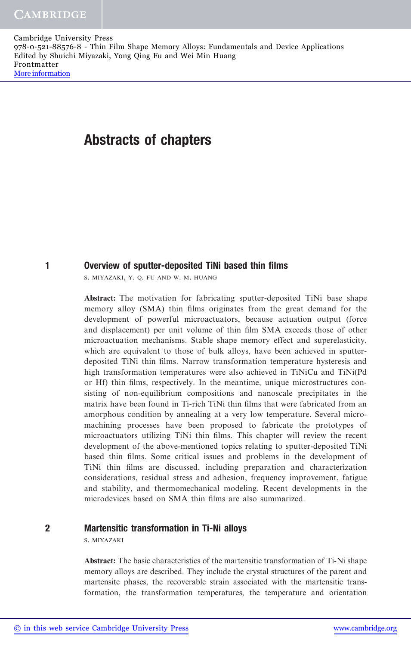### Abstracts of chapters

#### 1 Overview of sputter-deposited TiNi based thin films

S. MIYAZAKI, Y. Q. FU AND W. M. HUANG

Abstract: The motivation for fabricating sputter-deposited TiNi base shape memory alloy (SMA) thin films originates from the great demand for the development of powerful microactuators, because actuation output (force and displacement) per unit volume of thin film SMA exceeds those of other microactuation mechanisms. Stable shape memory effect and superelasticity, which are equivalent to those of bulk alloys, have been achieved in sputterdeposited TiNi thin films. Narrow transformation temperature hysteresis and high transformation temperatures were also achieved in TiNiCu and TiNi(Pd or Hf) thin films, respectively. In the meantime, unique microstructures consisting of non-equilibrium compositions and nanoscale precipitates in the matrix have been found in Ti-rich TiNi thin films that were fabricated from an amorphous condition by annealing at a very low temperature. Several micromachining processes have been proposed to fabricate the prototypes of microactuators utilizing TiNi thin films. This chapter will review the recent development of the above-mentioned topics relating to sputter-deposited TiNi based thin films. Some critical issues and problems in the development of TiNi thin films are discussed, including preparation and characterization considerations, residual stress and adhesion, frequency improvement, fatigue and stability, and thermomechanical modeling. Recent developments in the microdevices based on SMA thin films are also summarized.

#### 2 Martensitic transformation in Ti-Ni alloys

S. MIYAZAKI

Abstract: The basic characteristics of the martensitic transformation of Ti-Ni shape memory alloys are described. They include the crystal structures of the parent and martensite phases, the recoverable strain associated with the martensitic transformation, the transformation temperatures, the temperature and orientation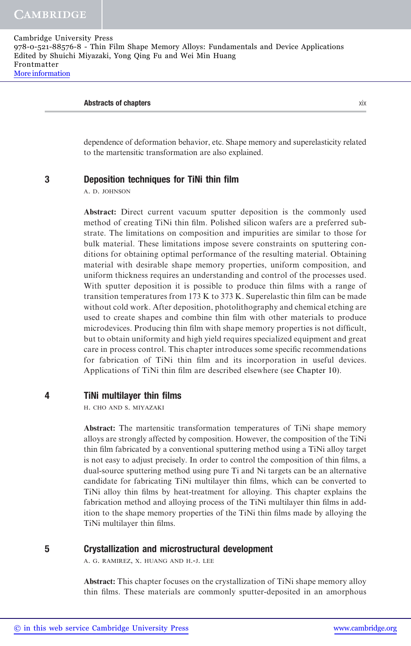#### **Abstracts of chapters** xix

dependence of deformation behavior, etc. Shape memory and superelasticity related to the martensitic transformation are also explained.

#### 3 Deposition techniques for TiNi thin film

A. D. JOHNSON

Abstract: Direct current vacuum sputter deposition is the commonly used method of creating TiNi thin film. Polished silicon wafers are a preferred substrate. The limitations on composition and impurities are similar to those for bulk material. These limitations impose severe constraints on sputtering conditions for obtaining optimal performance of the resulting material. Obtaining material with desirable shape memory properties, uniform composition, and uniform thickness requires an understanding and control of the processes used. With sputter deposition it is possible to produce thin films with a range of transition temperatures from 173 K to 373 K. Superelastic thin film can be made without cold work. After deposition, photolithography and chemical etching are used to create shapes and combine thin film with other materials to produce microdevices. Producing thin film with shape memory properties is not difficult, but to obtain uniformity and high yield requires specialized equipment and great care in process control. This chapter introduces some specific recommendations for fabrication of TiNi thin film and its incorporation in useful devices. Applications of TiNi thin film are described elsewhere (see Chapter 10).

#### 4 TiNi multilayer thin films

H. CHO AND S. MIYAZAKI

Abstract: The martensitic transformation temperatures of TiNi shape memory alloys are strongly affected by composition. However, the composition of the TiNi thin film fabricated by a conventional sputtering method using a TiNi alloy target is not easy to adjust precisely. In order to control the composition of thin films, a dual-source sputtering method using pure Ti and Ni targets can be an alternative candidate for fabricating TiNi multilayer thin films, which can be converted to TiNi alloy thin films by heat-treatment for alloying. This chapter explains the fabrication method and alloying process of the TiNi multilayer thin films in addition to the shape memory properties of the TiNi thin films made by alloying the TiNi multilayer thin films.

#### 5 Crystallization and microstructural development

A. G. RAMIREZ, X. HUANG AND H.-J. LEE

Abstract: This chapter focuses on the crystallization of TiNi shape memory alloy thin films. These materials are commonly sputter-deposited in an amorphous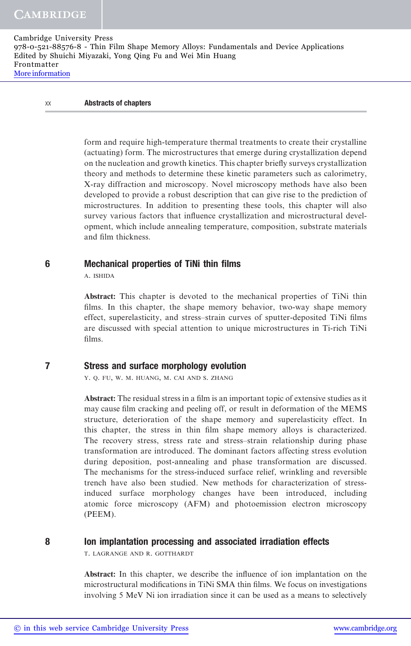#### xx Abstracts of chapters

form and require high-temperature thermal treatments to create their crystalline (actuating) form. The microstructures that emerge during crystallization depend on the nucleation and growth kinetics. This chapter briefly surveys crystallization theory and methods to determine these kinetic parameters such as calorimetry, X-ray diffraction and microscopy. Novel microscopy methods have also been developed to provide a robust description that can give rise to the prediction of microstructures. In addition to presenting these tools, this chapter will also survey various factors that influence crystallization and microstructural development, which include annealing temperature, composition, substrate materials and film thickness.

#### 6 Mechanical properties of TiNi thin films

A. ISHIDA

Abstract: This chapter is devoted to the mechanical properties of TiNi thin films. In this chapter, the shape memory behavior, two-way shape memory effect, superelasticity, and stress–strain curves of sputter-deposited TiNi films are discussed with special attention to unique microstructures in Ti-rich TiNi films.

#### 7 Stress and surface morphology evolution

Y. Q. FU, W. M. HUANG, M. CAI AND S. ZHANG

Abstract: The residual stress in a film is an important topic of extensive studies as it may cause film cracking and peeling off, or result in deformation of the MEMS structure, deterioration of the shape memory and superelasticity effect. In this chapter, the stress in thin film shape memory alloys is characterized. The recovery stress, stress rate and stress–strain relationship during phase transformation are introduced. The dominant factors affecting stress evolution during deposition, post-annealing and phase transformation are discussed. The mechanisms for the stress-induced surface relief, wrinkling and reversible trench have also been studied. New methods for characterization of stressinduced surface morphology changes have been introduced, including atomic force microscopy (AFM) and photoemission electron microscopy (PEEM).

#### 8 Ion implantation processing and associated irradiation effects

T. LAGRANGE AND R. GOTTHARDT

Abstract: In this chapter, we describe the influence of ion implantation on the microstructural modifications in TiNi SMA thin films. We focus on investigations involving 5 MeV Ni ion irradiation since it can be used as a means to selectively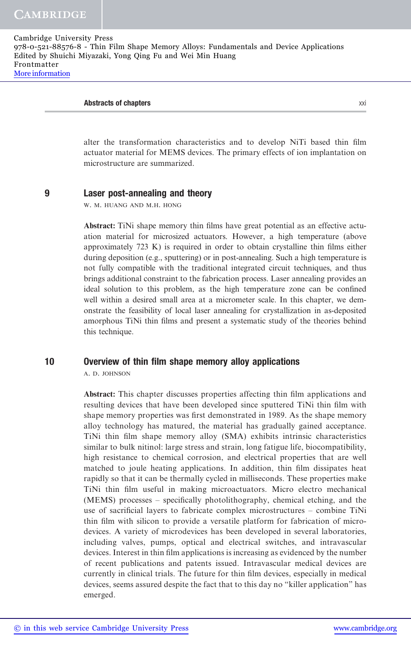#### **Abstracts of chapters** xxi

alter the transformation characteristics and to develop NiTi based thin film actuator material for MEMS devices. The primary effects of ion implantation on microstructure are summarized.

#### 9 Laser post-annealing and theory

W. M. HUANG AND M.H. HONG

Abstract: TiNi shape memory thin films have great potential as an effective actuation material for microsized actuators. However, a high temperature (above approximately 723 K) is required in order to obtain crystalline thin films either during deposition (e.g., sputtering) or in post-annealing. Such a high temperature is not fully compatible with the traditional integrated circuit techniques, and thus brings additional constraint to the fabrication process. Laser annealing provides an ideal solution to this problem, as the high temperature zone can be confined well within a desired small area at a micrometer scale. In this chapter, we demonstrate the feasibility of local laser annealing for crystallization in as-deposited amorphous TiNi thin films and present a systematic study of the theories behind this technique.

#### 10 Overview of thin film shape memory alloy applications

A. D. JOHNSON

Abstract: This chapter discusses properties affecting thin film applications and resulting devices that have been developed since sputtered TiNi thin film with shape memory properties was first demonstrated in 1989. As the shape memory alloy technology has matured, the material has gradually gained acceptance. TiNi thin film shape memory alloy (SMA) exhibits intrinsic characteristics similar to bulk nitinol: large stress and strain, long fatigue life, biocompatibility, high resistance to chemical corrosion, and electrical properties that are well matched to joule heating applications. In addition, thin film dissipates heat rapidly so that it can be thermally cycled in milliseconds. These properties make TiNi thin film useful in making microactuators. Micro electro mechanical (MEMS) processes – specifically photolithography, chemical etching, and the use of sacrificial layers to fabricate complex microstructures – combine TiNi thin film with silicon to provide a versatile platform for fabrication of microdevices. A variety of microdevices has been developed in several laboratories, including valves, pumps, optical and electrical switches, and intravascular devices. Interest in thin film applications is increasing as evidenced by the number of recent publications and patents issued. Intravascular medical devices are currently in clinical trials. The future for thin film devices, especially in medical devices, seems assured despite the fact that to this day no "killer application" has emerged.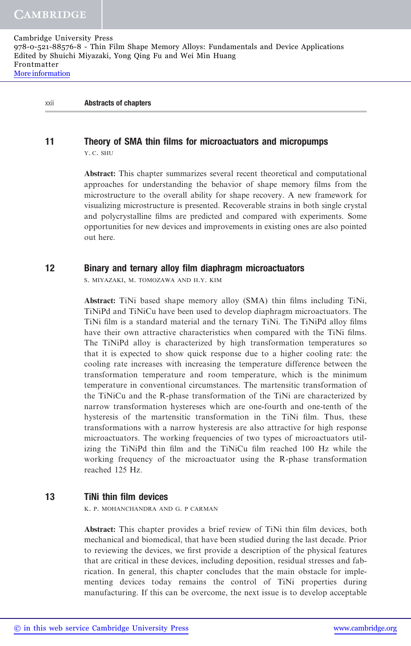xxii Abstracts of chapters

#### 11 Theory of SMA thin films for microactuators and micropumps Y. C. SHU

Abstract: This chapter summarizes several recent theoretical and computational approaches for understanding the behavior of shape memory films from the microstructure to the overall ability for shape recovery. A new framework for visualizing microstructure is presented. Recoverable strains in both single crystal and polycrystalline films are predicted and compared with experiments. Some opportunities for new devices and improvements in existing ones are also pointed out here.

#### 12 Binary and ternary alloy film diaphragm microactuators

S. MIYAZAKI, M. TOMOZAWA AND H.Y. KIM

Abstract: TiNi based shape memory alloy (SMA) thin films including TiNi, TiNiPd and TiNiCu have been used to develop diaphragm microactuators. The TiNi film is a standard material and the ternary TiNi. The TiNiPd alloy films have their own attractive characteristics when compared with the TiNi films. The TiNiPd alloy is characterized by high transformation temperatures so that it is expected to show quick response due to a higher cooling rate: the cooling rate increases with increasing the temperature difference between the transformation temperature and room temperature, which is the minimum temperature in conventional circumstances. The martensitic transformation of the TiNiCu and the R-phase transformation of the TiNi are characterized by narrow transformation hystereses which are one-fourth and one-tenth of the hysteresis of the martensitic transformation in the TiNi film. Thus, these transformations with a narrow hysteresis are also attractive for high response microactuators. The working frequencies of two types of microactuators utilizing the TiNiPd thin film and the TiNiCu film reached 100 Hz while the working frequency of the microactuator using the R-phase transformation reached 125 Hz.

#### 13 TiNi thin film devices

K. P. MOHANCHANDRA AND G. P CARMAN

Abstract: This chapter provides a brief review of TiNi thin film devices, both mechanical and biomedical, that have been studied during the last decade. Prior to reviewing the devices, we first provide a description of the physical features that are critical in these devices, including deposition, residual stresses and fabrication. In general, this chapter concludes that the main obstacle for implementing devices today remains the control of TiNi properties during manufacturing. If this can be overcome, the next issue is to develop acceptable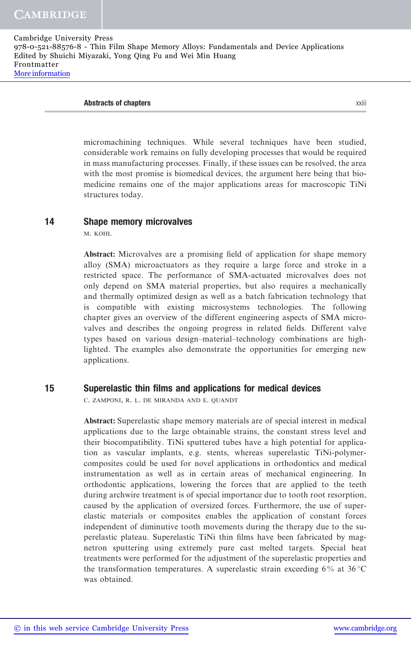#### **Abstracts of chapters** xxiii

micromachining techniques. While several techniques have been studied, considerable work remains on fully developing processes that would be required in mass manufacturing processes. Finally, if these issues can be resolved, the area with the most promise is biomedical devices, the argument here being that biomedicine remains one of the major applications areas for macroscopic TiNi structures today.

#### 14 Shape memory microvalves

M. KOHL

Abstract: Microvalves are a promising field of application for shape memory alloy (SMA) microactuators as they require a large force and stroke in a restricted space. The performance of SMA-actuated microvalves does not only depend on SMA material properties, but also requires a mechanically and thermally optimized design as well as a batch fabrication technology that is compatible with existing microsystems technologies. The following chapter gives an overview of the different engineering aspects of SMA microvalves and describes the ongoing progress in related fields. Different valve types based on various design–material–technology combinations are highlighted. The examples also demonstrate the opportunities for emerging new applications.

#### 15 Superelastic thin films and applications for medical devices

C. ZAMPONI, R. L. DE MIRANDA AND E. QUANDT

Abstract: Superelastic shape memory materials are of special interest in medical applications due to the large obtainable strains, the constant stress level and their biocompatibility. TiNi sputtered tubes have a high potential for application as vascular implants, e.g. stents, whereas superelastic TiNi-polymercomposites could be used for novel applications in orthodontics and medical instrumentation as well as in certain areas of mechanical engineering. In orthodontic applications, lowering the forces that are applied to the teeth during archwire treatment is of special importance due to tooth root resorption, caused by the application of oversized forces. Furthermore, the use of superelastic materials or composites enables the application of constant forces independent of diminutive tooth movements during the therapy due to the superelastic plateau. Superelastic TiNi thin films have been fabricated by magnetron sputtering using extremely pure cast melted targets. Special heat treatments were performed for the adjustment of the superelastic properties and the transformation temperatures. A superelastic strain exceeding  $6\%$  at  $36\,^{\circ}\text{C}$ was obtained.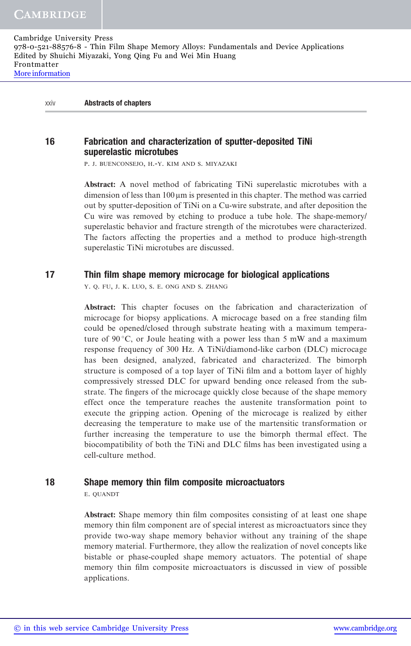xxiv Abstracts of chapters

#### 16 Fabrication and characterization of sputter-deposited TiNi superelastic microtubes

P. J. BUENCONSEJO, H.-Y. KIM AND S. MIYAZAKI

Abstract: A novel method of fabricating TiNi superelastic microtubes with a dimension of less than  $100 \mu m$  is presented in this chapter. The method was carried out by sputter-deposition of TiNi on a Cu-wire substrate, and after deposition the Cu wire was removed by etching to produce a tube hole. The shape-memory/ superelastic behavior and fracture strength of the microtubes were characterized. The factors affecting the properties and a method to produce high-strength superelastic TiNi microtubes are discussed.

#### 17 Thin film shape memory microcage for biological applications

Y. Q. FU, J. K. LUO, S. E. ONG AND S. ZHANG

Abstract: This chapter focuses on the fabrication and characterization of microcage for biopsy applications. A microcage based on a free standing film could be opened/closed through substrate heating with a maximum temperature of 90 $\degree$ C, or Joule heating with a power less than 5 mW and a maximum response frequency of 300 Hz. A TiNi/diamond-like carbon (DLC) microcage has been designed, analyzed, fabricated and characterized. The bimorph structure is composed of a top layer of TiNi film and a bottom layer of highly compressively stressed DLC for upward bending once released from the substrate. The fingers of the microcage quickly close because of the shape memory effect once the temperature reaches the austenite transformation point to execute the gripping action. Opening of the microcage is realized by either decreasing the temperature to make use of the martensitic transformation or further increasing the temperature to use the bimorph thermal effect. The biocompatibility of both the TiNi and DLC films has been investigated using a cell-culture method.

#### 18 Shape memory thin film composite microactuators

E. QUANDT

Abstract: Shape memory thin film composites consisting of at least one shape memory thin film component are of special interest as microactuators since they provide two-way shape memory behavior without any training of the shape memory material. Furthermore, they allow the realization of novel concepts like bistable or phase-coupled shape memory actuators. The potential of shape memory thin film composite microactuators is discussed in view of possible applications.